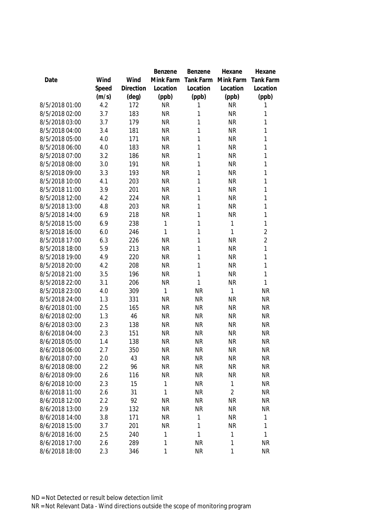|                |       |           | Benzene   | Benzene   | Hexane                 | Hexane                 |
|----------------|-------|-----------|-----------|-----------|------------------------|------------------------|
| Date           | Wind  | Wind      | Mink Farm | Tank Farm | Mink Farm              | <b>Tank Farm</b>       |
|                | Speed | Direction | Location  | Location  | Location               | Location               |
|                | (m/s) | (deg)     | (ppb)     | (ppb)     | (ppb)                  | (ppb)                  |
| 8/5/2018 01:00 | 4.2   | 172       | <b>NR</b> | 1         | <b>NR</b>              | 1                      |
| 8/5/2018 02:00 | 3.7   | 183       | <b>NR</b> | 1         | <b>NR</b>              | 1                      |
| 8/5/2018 03:00 | 3.7   | 179       | <b>NR</b> | 1         | <b>NR</b>              | 1                      |
| 8/5/2018 04:00 | 3.4   | 181       | <b>NR</b> | 1         | <b>NR</b>              | 1                      |
| 8/5/2018 05:00 | 4.0   | 171       | <b>NR</b> | 1         | <b>NR</b>              | 1                      |
| 8/5/2018 06:00 | 4.0   | 183       | <b>NR</b> | 1         | <b>NR</b>              | 1                      |
| 8/5/2018 07:00 | 3.2   | 186       | <b>NR</b> | 1         | <b>NR</b>              | 1                      |
| 8/5/2018 08:00 | 3.0   | 191       | <b>NR</b> | 1         | <b>NR</b>              | 1                      |
| 8/5/2018 09:00 | 3.3   | 193       | <b>NR</b> | 1         | <b>NR</b>              | 1                      |
| 8/5/2018 10:00 | 4.1   | 203       | <b>NR</b> | 1         | <b>NR</b>              | 1                      |
| 8/5/2018 11:00 | 3.9   | 201       | <b>NR</b> | 1         | <b>NR</b>              | 1                      |
| 8/5/2018 12:00 | 4.2   | 224       | <b>NR</b> | 1         | <b>NR</b>              | 1                      |
| 8/5/2018 13:00 | 4.8   | 203       | <b>NR</b> | 1         | <b>NR</b>              | 1                      |
| 8/5/2018 14:00 | 6.9   | 218       | <b>NR</b> | 1         | <b>NR</b>              | 1                      |
| 8/5/2018 15:00 | 6.9   | 238       | 1         | 1         | $\mathbf{1}$           | 1                      |
| 8/5/2018 16:00 | 6.0   | 246       | 1         | 1         | 1                      | $\overline{2}$         |
| 8/5/2018 17:00 | 6.3   | 226       | <b>NR</b> | 1         | <b>NR</b>              | $\overline{2}$         |
| 8/5/2018 18:00 | 5.9   | 213       | <b>NR</b> | 1         | <b>NR</b>              | 1                      |
| 8/5/2018 19:00 | 4.9   | 220       | <b>NR</b> | 1         | <b>NR</b>              | 1                      |
| 8/5/2018 20:00 | 4.2   | 208       | <b>NR</b> | 1         | <b>NR</b>              | 1                      |
| 8/5/2018 21:00 | 3.5   | 196       | <b>NR</b> | 1         | <b>NR</b>              | 1                      |
| 8/5/2018 22:00 | 3.1   | 206       | <b>NR</b> | 1         | <b>NR</b>              | 1                      |
| 8/5/2018 23:00 | 4.0   | 309       | 1         | <b>NR</b> | 1                      | <b>NR</b>              |
| 8/5/2018 24:00 | 1.3   | 331       | <b>NR</b> | <b>NR</b> | <b>NR</b>              | <b>NR</b>              |
| 8/6/2018 01:00 | 2.5   | 165       | <b>NR</b> | <b>NR</b> | <b>NR</b>              | <b>NR</b>              |
| 8/6/2018 02:00 | 1.3   | 46        | <b>NR</b> | <b>NR</b> | <b>NR</b>              | <b>NR</b>              |
| 8/6/2018 03:00 | 2.3   | 138       | <b>NR</b> | <b>NR</b> | <b>NR</b>              | <b>NR</b>              |
| 8/6/2018 04:00 | 2.3   | 151       | <b>NR</b> | <b>NR</b> | <b>NR</b>              | <b>NR</b>              |
| 8/6/2018 05:00 | 1.4   | 138       | <b>NR</b> | <b>NR</b> | <b>NR</b>              | <b>NR</b>              |
| 8/6/2018 06:00 | 2.7   | 350       | <b>NR</b> | <b>NR</b> | <b>NR</b>              | <b>NR</b>              |
| 8/6/2018 07:00 | 2.0   | 43        | <b>NR</b> | <b>NR</b> | <b>NR</b>              | <b>NR</b>              |
| 8/6/2018 08:00 | 2.2   | 96        | <b>NR</b> | <b>NR</b> | <b>NR</b>              | <b>NR</b>              |
| 8/6/2018 09:00 | 2.6   | 116       | <b>NR</b> | <b>NR</b> | <b>NR</b>              | <b>NR</b>              |
| 8/6/2018 10:00 | 2.3   | 15        | 1         | <b>NR</b> | 1                      | <b>NR</b>              |
| 8/6/2018 11:00 | 2.6   | 31        | 1         | <b>NR</b> | $\overline{2}$         | <b>NR</b>              |
| 8/6/2018 12:00 | 2.2   | 92        | <b>NR</b> | <b>NR</b> |                        |                        |
| 8/6/2018 13:00 | 2.9   |           | <b>NR</b> | <b>NR</b> | <b>NR</b><br><b>NR</b> | <b>NR</b><br><b>NR</b> |
|                |       | 132       |           |           |                        |                        |
| 8/6/2018 14:00 | 3.8   | 171       | <b>NR</b> | 1         | <b>NR</b>              | 1                      |
| 8/6/2018 15:00 | 3.7   | 201       | <b>NR</b> | 1         | <b>NR</b>              | 1                      |
| 8/6/2018 16:00 | 2.5   | 240       | 1         | 1         | $\mathbf{1}$           | 1                      |
| 8/6/2018 17:00 | 2.6   | 289       | 1         | <b>NR</b> | $\mathbf{1}$           | <b>NR</b>              |
| 8/6/2018 18:00 | 2.3   | 346       | 1         | <b>NR</b> | $\mathbf 1$            | <b>NR</b>              |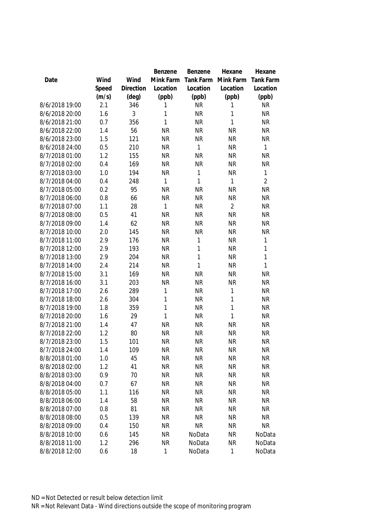|                |       |                | Benzene      | Benzene      | Hexane         | Hexane           |
|----------------|-------|----------------|--------------|--------------|----------------|------------------|
| Date           | Wind  | Wind           | Mink Farm    | Tank Farm    | Mink Farm      | <b>Tank Farm</b> |
|                | Speed | Direction      | Location     | Location     | Location       | Location         |
|                | (m/s) | $(\text{deg})$ | (ppb)        | (ppb)        | (ppb)          | (ppb)            |
| 8/6/2018 19:00 | 2.1   | 346            | 1            | <b>NR</b>    | 1              | <b>NR</b>        |
| 8/6/2018 20:00 | 1.6   | 3              | 1            | <b>NR</b>    | 1              | <b>NR</b>        |
| 8/6/2018 21:00 | 0.7   | 356            | $\mathbf{1}$ | <b>NR</b>    | 1              | <b>NR</b>        |
| 8/6/2018 22:00 | 1.4   | 56             | <b>NR</b>    | <b>NR</b>    | <b>NR</b>      | <b>NR</b>        |
| 8/6/2018 23:00 | 1.5   | 121            | <b>NR</b>    | <b>NR</b>    | <b>NR</b>      | <b>NR</b>        |
| 8/6/2018 24:00 | 0.5   | 210            | <b>NR</b>    | 1            | <b>NR</b>      | $\mathbf{1}$     |
| 8/7/2018 01:00 | 1.2   | 155            | <b>NR</b>    | <b>NR</b>    | <b>NR</b>      | <b>NR</b>        |
| 8/7/2018 02:00 | 0.4   | 169            | <b>NR</b>    | <b>NR</b>    | <b>NR</b>      | <b>NR</b>        |
| 8/7/2018 03:00 | 1.0   | 194            | <b>NR</b>    | 1            | <b>NR</b>      | 1                |
| 8/7/2018 04:00 | 0.4   | 248            | 1            | 1            | 1              | $\overline{2}$   |
| 8/7/2018 05:00 | 0.2   | 95             | <b>NR</b>    | <b>NR</b>    | <b>NR</b>      | <b>NR</b>        |
| 8/7/2018 06:00 | 0.8   | 66             | <b>NR</b>    | <b>NR</b>    | <b>NR</b>      | <b>NR</b>        |
| 8/7/2018 07:00 | 1.1   | 28             | 1            | <b>NR</b>    | $\overline{2}$ | <b>NR</b>        |
| 8/7/2018 08:00 | 0.5   | 41             | <b>NR</b>    | <b>NR</b>    | <b>NR</b>      | <b>NR</b>        |
| 8/7/2018 09:00 | 1.4   | 62             | <b>NR</b>    | <b>NR</b>    | <b>NR</b>      | <b>NR</b>        |
| 8/7/2018 10:00 | 2.0   | 145            | <b>NR</b>    | <b>NR</b>    | <b>NR</b>      | <b>NR</b>        |
| 8/7/2018 11:00 | 2.9   | 176            | <b>NR</b>    | 1            | <b>NR</b>      | 1                |
| 8/7/2018 12:00 | 2.9   | 193            | <b>NR</b>    | 1            | <b>NR</b>      | 1                |
| 8/7/2018 13:00 | 2.9   | 204            | <b>NR</b>    | 1            | <b>NR</b>      | $\mathbf{1}$     |
| 8/7/2018 14:00 | 2.4   | 214            | <b>NR</b>    | $\mathbf{1}$ | <b>NR</b>      | $\mathbf{1}$     |
| 8/7/2018 15:00 | 3.1   | 169            | <b>NR</b>    | <b>NR</b>    | <b>NR</b>      | <b>NR</b>        |
| 8/7/2018 16:00 | 3.1   | 203            | <b>NR</b>    | <b>NR</b>    | <b>NR</b>      | <b>NR</b>        |
| 8/7/2018 17:00 | 2.6   | 289            | 1            | <b>NR</b>    | 1              | <b>NR</b>        |
| 8/7/2018 18:00 | 2.6   | 304            | $\mathbf{1}$ | <b>NR</b>    | 1              | <b>NR</b>        |
| 8/7/2018 19:00 | 1.8   | 359            | $\mathbf{1}$ | <b>NR</b>    | 1              | <b>NR</b>        |
| 8/7/2018 20:00 | 1.6   | 29             | $\mathbf{1}$ | <b>NR</b>    | 1              | <b>NR</b>        |
| 8/7/2018 21:00 | 1.4   | 47             | <b>NR</b>    | <b>NR</b>    | <b>NR</b>      | <b>NR</b>        |
| 8/7/2018 22:00 | 1.2   | 80             | <b>NR</b>    | <b>NR</b>    | <b>NR</b>      | <b>NR</b>        |
| 8/7/2018 23:00 | 1.5   | 101            | <b>NR</b>    | <b>NR</b>    | <b>NR</b>      | <b>NR</b>        |
| 8/7/2018 24:00 | 1.4   | 109            | <b>NR</b>    | NR           | <b>NR</b>      | NR               |
| 8/8/2018 01:00 | 1.0   | 45             | <b>NR</b>    | <b>NR</b>    | <b>NR</b>      | <b>NR</b>        |
| 8/8/2018 02:00 | 1.2   | 41             | <b>NR</b>    | <b>NR</b>    | <b>NR</b>      | <b>NR</b>        |
| 8/8/2018 03:00 | 0.9   | 70             | <b>NR</b>    | <b>NR</b>    | <b>NR</b>      | <b>NR</b>        |
| 8/8/2018 04:00 | 0.7   | 67             | <b>NR</b>    | <b>NR</b>    | <b>NR</b>      | <b>NR</b>        |
| 8/8/2018 05:00 | 1.1   | 116            | <b>NR</b>    | <b>NR</b>    | <b>NR</b>      | <b>NR</b>        |
| 8/8/2018 06:00 | 1.4   | 58             | <b>NR</b>    | <b>NR</b>    | <b>NR</b>      | <b>NR</b>        |
| 8/8/2018 07:00 | 0.8   | 81             | <b>NR</b>    | <b>NR</b>    | <b>NR</b>      | <b>NR</b>        |
| 8/8/2018 08:00 | 0.5   | 139            | <b>NR</b>    | <b>NR</b>    | <b>NR</b>      | <b>NR</b>        |
| 8/8/2018 09:00 | 0.4   | 150            | <b>NR</b>    | <b>NR</b>    | <b>NR</b>      | <b>NR</b>        |
| 8/8/2018 10:00 | 0.6   | 145            | <b>NR</b>    | NoData       | <b>NR</b>      | NoData           |
| 8/8/2018 11:00 | 1.2   | 296            | <b>NR</b>    | NoData       | <b>NR</b>      | NoData           |
| 8/8/2018 12:00 | 0.6   | 18             | 1            | NoData       | 1              | NoData           |
|                |       |                |              |              |                |                  |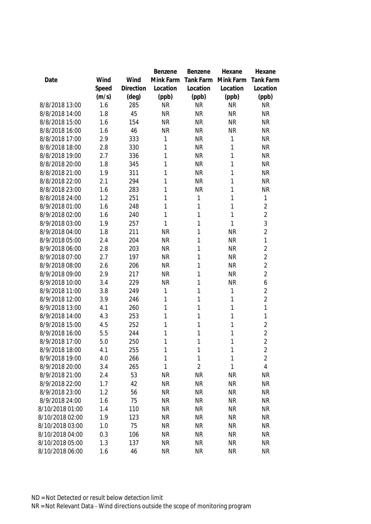|                 |       |           | Benzene   | Benzene        | Hexane       | Hexane           |
|-----------------|-------|-----------|-----------|----------------|--------------|------------------|
| Date            | Wind  | Wind      | Mink Farm | Tank Farm      | Mink Farm    | <b>Tank Farm</b> |
|                 | Speed | Direction | Location  | Location       | Location     | Location         |
|                 | (m/s) | (deg)     | (ppb)     | (ppb)          | (ppb)        | (ppb)            |
| 8/8/2018 13:00  | 1.6   | 285       | <b>NR</b> | <b>NR</b>      | <b>NR</b>    | <b>NR</b>        |
| 8/8/2018 14:00  | 1.8   | 45        | <b>NR</b> | <b>NR</b>      | <b>NR</b>    | <b>NR</b>        |
| 8/8/2018 15:00  | 1.6   | 154       | <b>NR</b> | <b>NR</b>      | <b>NR</b>    | <b>NR</b>        |
| 8/8/2018 16:00  | 1.6   | 46        | <b>NR</b> | <b>NR</b>      | <b>NR</b>    | <b>NR</b>        |
| 8/8/2018 17:00  | 2.9   | 333       | 1         | <b>NR</b>      | 1            | <b>NR</b>        |
| 8/8/2018 18:00  | 2.8   | 330       | 1         | <b>NR</b>      | 1            | <b>NR</b>        |
| 8/8/2018 19:00  | 2.7   | 336       | 1         | <b>NR</b>      | 1            | <b>NR</b>        |
| 8/8/2018 20:00  | 1.8   | 345       | 1         | <b>NR</b>      | 1            | <b>NR</b>        |
| 8/8/2018 21:00  | 1.9   | 311       | 1         | <b>NR</b>      | 1            | <b>NR</b>        |
| 8/8/2018 22:00  | 2.1   | 294       | 1         | <b>NR</b>      | 1            | <b>NR</b>        |
| 8/8/2018 23:00  | 1.6   | 283       | 1         | <b>NR</b>      | 1            | <b>NR</b>        |
| 8/8/2018 24:00  | 1.2   | 251       | 1         | 1              | 1            | 1                |
| 8/9/2018 01:00  | 1.6   | 248       | 1         | 1              | 1            | $\overline{2}$   |
| 8/9/2018 02:00  | 1.6   | 240       | 1         | 1              | 1            | $\overline{2}$   |
| 8/9/2018 03:00  | 1.9   | 257       | 1         | 1              | 1            | 3                |
| 8/9/2018 04:00  | 1.8   | 211       | <b>NR</b> | 1              | <b>NR</b>    | $\overline{2}$   |
| 8/9/2018 05:00  | 2.4   | 204       | <b>NR</b> | 1              | <b>NR</b>    | 1                |
| 8/9/2018 06:00  | 2.8   | 203       | <b>NR</b> | 1              | <b>NR</b>    | $\overline{2}$   |
| 8/9/2018 07:00  | 2.7   | 197       | <b>NR</b> | 1              | <b>NR</b>    | $\overline{2}$   |
| 8/9/2018 08:00  | 2.6   | 206       | <b>NR</b> | 1              | <b>NR</b>    | $\overline{2}$   |
| 8/9/2018 09:00  | 2.9   | 217       | <b>NR</b> | 1              | <b>NR</b>    | $\overline{2}$   |
| 8/9/2018 10:00  | 3.4   | 229       | <b>NR</b> | 1              | <b>NR</b>    | 6                |
| 8/9/2018 11:00  | 3.8   | 249       | 1         | 1              | 1            | 2                |
| 8/9/2018 12:00  | 3.9   | 246       | 1         | 1              | 1            | $\overline{2}$   |
| 8/9/2018 13:00  | 4.1   | 260       | 1         | 1              | 1            | 1                |
| 8/9/2018 14:00  | 4.3   | 253       | 1         | 1              | 1            | 1                |
| 8/9/2018 15:00  | 4.5   | 252       | 1         | 1              | 1            | 2                |
| 8/9/2018 16:00  | 5.5   | 244       | 1         | 1              | 1            | $\overline{2}$   |
| 8/9/2018 17:00  | 5.0   | 250       | 1         | 1              | 1            | $\overline{2}$   |
| 8/9/2018 18:00  | 4.1   | 255       | 1         | 1              | $\mathbf{1}$ | $\overline{c}$   |
| 8/9/2018 19:00  | 4.0   | 266       | 1         | 1              | 1            | $\overline{2}$   |
| 8/9/2018 20:00  | 3.4   | 265       | 1         | $\overline{2}$ | $\mathbf{1}$ | 4                |
|                 |       |           |           |                |              |                  |
| 8/9/2018 21:00  | 2.4   | 53        | <b>NR</b> | <b>NR</b>      | <b>NR</b>    | <b>NR</b>        |
| 8/9/2018 22:00  | 1.7   | 42        | <b>NR</b> | <b>NR</b>      | <b>NR</b>    | <b>NR</b>        |
| 8/9/2018 23:00  | 1.2   | 56        | <b>NR</b> | <b>NR</b>      | <b>NR</b>    | <b>NR</b>        |
| 8/9/2018 24:00  | 1.6   | 75        | <b>NR</b> | <b>NR</b>      | <b>NR</b>    | <b>NR</b>        |
| 8/10/2018 01:00 | 1.4   | 110       | <b>NR</b> | <b>NR</b>      | <b>NR</b>    | <b>NR</b>        |
| 8/10/2018 02:00 | 1.9   | 123       | <b>NR</b> | <b>NR</b>      | <b>NR</b>    | <b>NR</b>        |
| 8/10/2018 03:00 | 1.0   | 75        | <b>NR</b> | <b>NR</b>      | <b>NR</b>    | <b>NR</b>        |
| 8/10/2018 04:00 | 0.3   | 106       | <b>NR</b> | <b>NR</b>      | <b>NR</b>    | <b>NR</b>        |
| 8/10/2018 05:00 | 1.3   | 137       | <b>NR</b> | <b>NR</b>      | <b>NR</b>    | <b>NR</b>        |
| 8/10/2018 06:00 | 1.6   | 46        | <b>NR</b> | <b>NR</b>      | <b>NR</b>    | <b>NR</b>        |